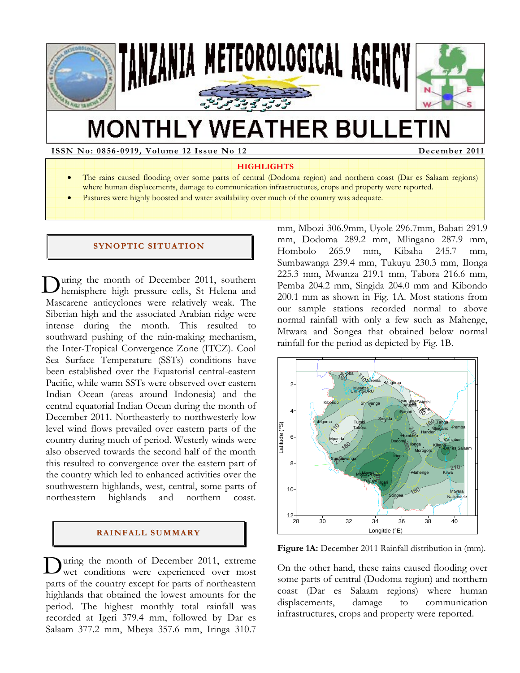

# **MONTHLY WEATHER BULLETIN**

**ISSN No: 0856-0919, Volume 12 Issue No 12 December 2011** 

#### **HIGHLIGHTS**

- The rains caused flooding over some parts of central (Dodoma region) and northern coast (Dar es Salaam regions) where human displacements, damage to communication infrastructures, crops and property were reported.
- Pastures were highly boosted and water availability over much of the country was adequate.

#### **SYNOPTIC SITUATION**

uring the month of December 2011, southern During the month of December 2011, southern<br>hemisphere high pressure cells, St Helena and Mascarene anticyclones were relatively weak. The Siberian high and the associated Arabian ridge were intense during the month. This resulted to southward pushing of the rain-making mechanism, the Inter-Tropical Convergence Zone (ITCZ). Cool Sea Surface Temperature (SSTs) conditions have been established over the Equatorial central-eastern Pacific, while warm SSTs were observed over eastern Indian Ocean (areas around Indonesia) and the central equatorial Indian Ocean during the month of December 2011. Northeasterly to northwesterly low level wind flows prevailed over eastern parts of the country during much of period. Westerly winds were also observed towards the second half of the month this resulted to convergence over the eastern part of the country which led to enhanced activities over the southwestern highlands, west, central, some parts of northeastern highlands and northern coast.

# **RAI NFALL SUMMARY**

uring the month of December 2011, extreme During the month of December 2011, extreme were experienced over most parts of the country except for parts of northeastern highlands that obtained the lowest amounts for the period. The highest monthly total rainfall was recorded at Igeri 379.4 mm, followed by Dar es Salaam 377.2 mm, Mbeya 357.6 mm, Iringa 310.7

mm, Mbozi 306.9mm, Uyole 296.7mm, Babati 291.9 mm, Dodoma 289.2 mm, Mlingano 287.9 mm, Hombolo 265.9 mm, Kibaha 245.7 mm, Sumbawanga 239.4 mm, Tukuyu 230.3 mm, Ilonga 225.3 mm, Mwanza 219.1 mm, Tabora 216.6 mm, Pemba 204.2 mm, Singida 204.0 mm and Kibondo 200.1 mm as shown in Fig. 1A. Most stations from our sample stations recorded normal to above normal rainfall with only a few such as Mahenge, Mtwara and Songea that obtained below normal rainfall for the period as depicted by Fig. 1B.



Figure 1A: December 2011 Rainfall distribution in (mm).

On the other hand, these rains caused flooding over some parts of central (Dodoma region) and northern coast (Dar es Salaam regions) where human displacements, damage to communication infrastructures, crops and property were reported.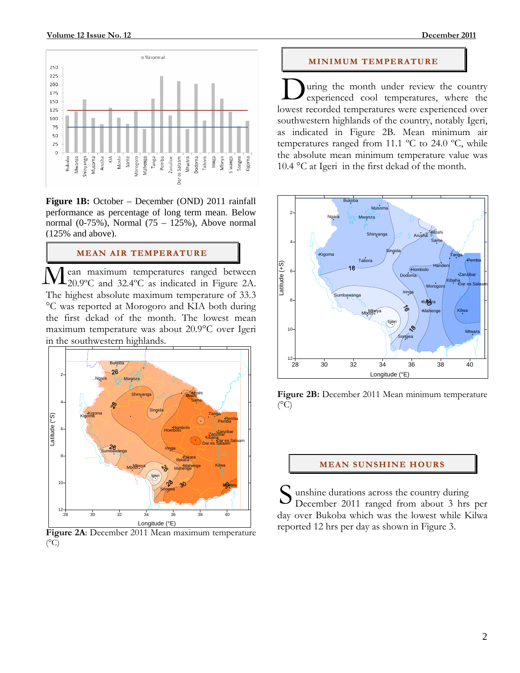

**Figure 1B:** October – December (OND) 2011 rainfall performance as percentage of long term mean. Below normal (0-75%), Normal (75 – 125%), Above normal (125% and above).

#### **MEAN AIR TEMPERATURE**

ean maximum temperatures ranged between 20.9ºC and 32.4ºC as indicated in Figure 2A. The highest absolute maximum temperature of 33.3 °C was reported at Morogoro and KIA both during the first dekad of the month. The lowest mean maximum temperature was about 20.9°C over Igeri in the southwestern highlands.  $\overline{\rm M}$ 



**Figure 2A**: December 2011 Mean maximum temperature  $(^{\circ}C)$ 

#### **MI NI MUM TEMPERATURE**

uring the month under review the country experienced cool temperatures, where the lowest recorded temperatures were experienced over southwestern highlands of the country, notably Igeri, as indicated in Figure 2B. Mean minimum air temperatures ranged from 11.1 ºC to 24.0 ºC, while the absolute mean minimum temperature value was 10.4 °C at Igeri in the first dekad of the month. D



**Figure 2B:** December 2011 Mean minimum temperature  $(^{\circ}C)$ 

#### **MEAN SUNSHINE HOURS**

 unshine durations across the country during December 2011 ranged from about 3 hrs per day over Bukoba which was the lowest while Kilwa reported 12 hrs per day as shown in Figure 3. S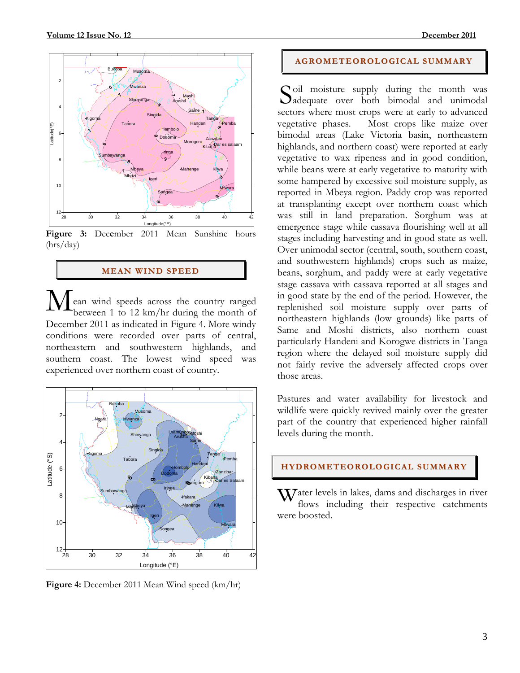

**Figure 3:** Dec**e**mber 2011 Mean Sunshine hours (hrs/day)

#### **MEAN WI ND SPEED**

ean wind speeds across the country ranged between 1 to 12 km/hr during the month of December 2011 as indicated in Figure 4. More windy conditions were recorded over parts of central, northeastern and southwestern highlands, and southern coast. The lowest wind speed was experienced over northern coast of country. M



**Figure 4:** December 2011 Mean Wind speed (km/hr)

# **AGROMETEOROLOGICAL SUMMARY**

Soil moisture supply during the month was<br>Sadequate over both bimodal and unimodal adequate over both bimodal and unimodal sectors where most crops were at early to advanced vegetative phases. Most crops like maize over bimodal areas (Lake Victoria basin, northeastern highlands, and northern coast) were reported at early vegetative to wax ripeness and in good condition, while beans were at early vegetative to maturity with some hampered by excessive soil moisture supply, as reported in Mbeya region. Paddy crop was reported at transplanting except over northern coast which was still in land preparation. Sorghum was at emergence stage while cassava flourishing well at all stages including harvesting and in good state as well. Over unimodal sector (central, south, southern coast, and southwestern highlands) crops such as maize, beans, sorghum, and paddy were at early vegetative stage cassava with cassava reported at all stages and in good state by the end of the period. However, the replenished soil moisture supply over parts of northeastern highlands (low grounds) like parts of Same and Moshi districts, also northern coast particularly Handeni and Korogwe districts in Tanga region where the delayed soil moisture supply did not fairly revive the adversely affected crops over those areas.

Pastures and water availability for livestock and wildlife were quickly revived mainly over the greater part of the country that experienced higher rainfall levels during the month.

## **HYDROMETEOROLOGICAL SUMMARY**

ater levels in lakes, dams and discharges in river flows including their respective catchments were boosted.  $\overline{\mathbf{W}}$